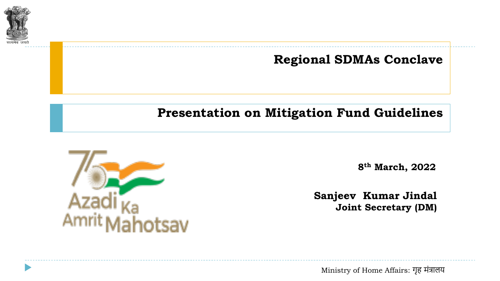

**Regional SDMAs Conclave**

## **Presentation on Mitigation Fund Guidelines**



**8th March, 2022**

**Sanjeev Kumar Jindal Joint Secretary (DM)**

Ministry of Home Affairs: गृह मंत्रालय Ministry of Home Affairs: गृह मंत्रालय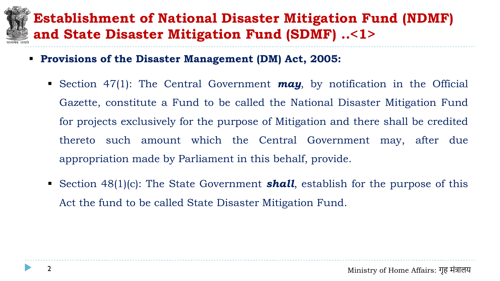## **Establishment of National Disaster Mitigation Fund (NDMF) and State Disaster Mitigation Fund (SDMF) ..<1>**

- **Provisions of the Disaster Management (DM) Act, 2005:**
	- Section 47(1): The Central Government **may**, by notification in the Official Gazette, constitute a Fund to be called the National Disaster Mitigation Fund for projects exclusively for the purpose of Mitigation and there shall be credited thereto such amount which the Central Government may, after due appropriation made by Parliament in this behalf, provide.
	- Section 48(1)(c): The State Government **shall**, establish for the purpose of this Act the fund to be called State Disaster Mitigation Fund.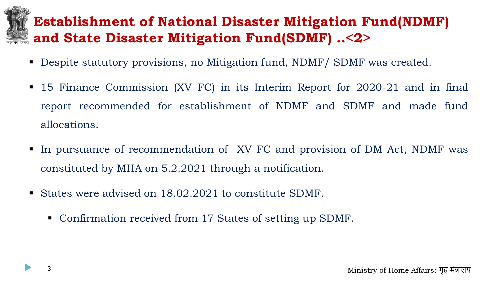## **Establishment of National Disaster Mitigation Fund(NDMF) and State Disaster Mitigation Fund(SDMF) ..<2>**

- Despite statutory provisions, no Mitigation fund, NDMF / SDMF was created.
- 15 Finance Commission (XV FC) in its Interim Report for 2020-21 and in final report recommended for establishment of NDMF and SDMF and made fund allocations.
- In pursuance of recommendation of XV FC and provision of DM Act, NDMF was constituted by MHA on 5.2.2021 through a notification.
- States were advised on 18.02.2021 to constitute SDMF.
	- Confirmation received from 17 States of setting up SDMF.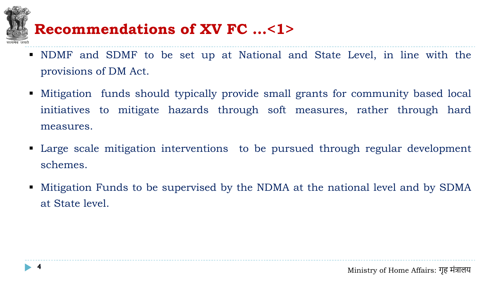- NDMF and SDMF to be set up at National and State Level, in line with the provisions of DM Act.
- Mitigation funds should typically provide small grants for community based local initiatives to mitigate hazards through soft measures, rather through hard measures. **Recommendations of XV FC ...<1>**<br>
NDMF and SDMF to be set up at National a<br>
provisions of DM Act.<br>
Mitigation funds should typically provide small<br>
initiatives to mitigate hazards through soft<br>
measures.<br>
Large scale miti
- Large scale mitigation interventions to be pursued through regular development schemes.
- Mitigation Funds to be supervised by the NDMA at the national level and by SDMA at State level.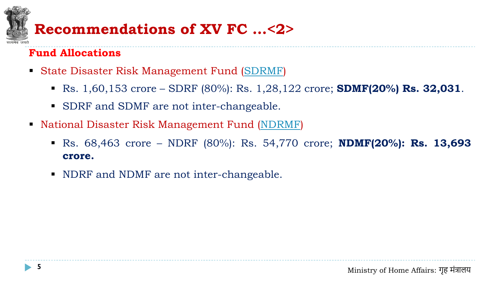## **Fund Allocations**

- State Disaster Risk Management Fund ([SDRMF\)](#page-20-0)
	- Rs. 1,60,153 crore SDRF (80%): Rs. 1,28,122 crore; **SDMF(20%) Rs. 32,031**.
	- SDRF and SDMF are not inter-changeable.
- National Disaster Risk Management Fund [\(NDRMF\)](#page-21-0)
- Rs. 68,463 crore NDRF (80%): Rs. 54,770 crore; **NDMF(20%): Rs. 13,693 crore. Recommendations of XV FC ... <2>**<br>
und Allocations<br>
State Disaster Risk Management Fund (SDRMF)<br>
R. 1,60,153 crore – SDRF (80%): Rs. 1,28,12<br>
SDRF and SDMF are not inter-changeable.<br>
National Disaster Risk Management Fund
	- NDRF and NDMF are not inter-changeable.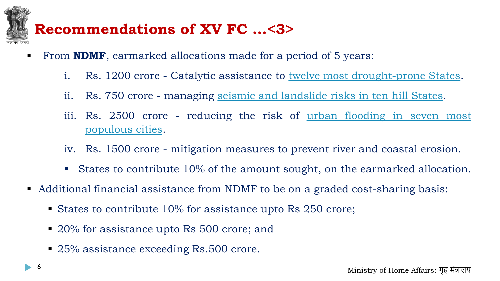## **Recommendations of XV FC …<3>**

- From **NDMF**, earmarked allocations made for a period of 5 years:
	- i. Rs. 1200 crore Catalytic assistance to twelve most [drought-prone](#page-17-0) States.
	- ii. Rs. 750 crore managing seismic and [landslide](#page-18-0) risks in ten hill States.
	- iii. Rs. 2500 crore reducing the risk of <u>urban flooding in seven most</u> [populous](#page-19-0) cities.
	- iv. Rs. 1500 crore mitigation measures to prevent river and coastal erosion.
	- States to contribute 10% of the amount sought, on the earmarked allocation.
- Additional financial assistance from NDMF to be on a graded cost-sharing basis:
	- States to contribute 10% for assistance upto Rs 250 crore;
	- 20% for assistance upto Rs 500 crore; and
	- 25% assistance exceeding Rs.500 crore.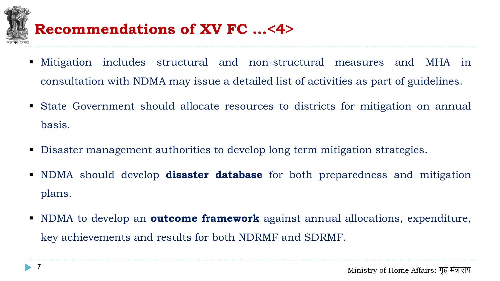

## **Recommendations of XV FC …<4>**

- Mitigation includes structural and non-structural measures and MHA in consultation with NDMA may issue a detailed list of activities as part of guidelines.
- State Government should allocate resources to districts for mitigation on annual basis.
- Disaster management authorities to develop long term mitigation strategies.
- NDMA should develop **disaster database** for both preparedness and mitigation plans.
- NDMA to develop an **outcome framework** against annual allocations, expenditure, key achievements and results for both NDRMF and SDRMF.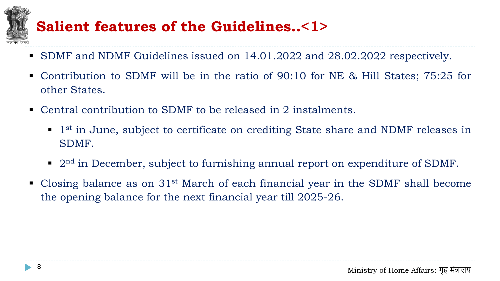## **Salient features of the Guidelines..<1>**

- SDMF and NDMF Guidelines issued on 14.01.2022 and 28.02.2022 respectively.
- Contribution to SDMF will be in the ratio of 90:10 for NE & Hill States; 75:25 for other States.
- Central contribution to SDMF to be released in 2 instalments.
	- 1<sup>st</sup> in June, subject to certificate on crediting State share and NDMF releases in SDMF.
	- $\blacksquare$  2<sup>nd</sup> in December, subject to furnishing annual report on expenditure of SDMF.
- **Closing balance as on 31st March of each financial year in the SDMF shall become** the opening balance for the next financial year till 2025-26.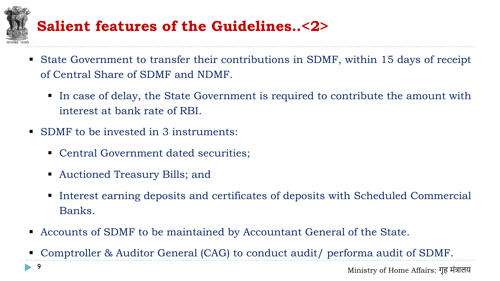## **Salient features of the Guidelines..<2>**

- State Government to transfer their contributions in SDMF, within 15 days of receipt of Central Share of SDMF and NDMF.
	- In case of delay, the State Government is required to contribute the amount with interest at bank rate of RBI.
- SDMF to be invested in 3 instruments:
	- Central Government dated securities;
	- Auctioned Treasury Bills; and
	- Interest earning deposits and certificates of deposits with Scheduled Commercial Banks.
- Accounts of SDMF to be maintained by Accountant General of the State.
- Comptroller & Auditor General (CAG) to conduct audit/ performa audit of SDMF.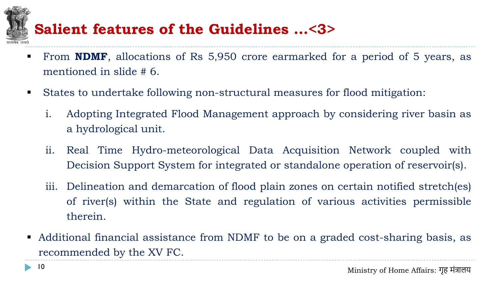## **Salient features of the Guidelines …<3>**

- From **NDMF**, allocations of Rs 5,950 crore earmarked for a period of 5 years, as mentioned in slide # 6.
- States to undertake following non-structural measures for flood mitigation:
	- i. Adopting Integrated Flood Management approach by considering river basin as a hydrological unit.
	- ii. Real Time Hydro-meteorological Data Acquisition Network coupled with Decision Support System for integrated or standalone operation of reservoir(s).
	- iii. Delineation and demarcation of flood plain zones on certain notified stretch(es) of river(s) within the State and regulation of various activities permissible therein.
- Additional financial assistance from NDMF to be on a graded cost-sharing basis, as recommended by the XV FC.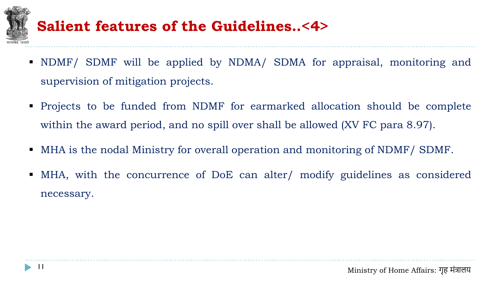

## **Salient features of the Guidelines..<4>**

- NDMF/ SDMF will be applied by NDMA/ SDMA for appraisal, monitoring and supervision of mitigation projects.
- Projects to be funded from NDMF for earmarked allocation should be complete within the award period, and no spill over shall be allowed (XV FC para 8.97).
- MHA is the nodal Ministry for overall operation and monitoring of NDMF/ SDMF.
- MHA, with the concurrence of DoE can alter/ modify guidelines as considered necessary.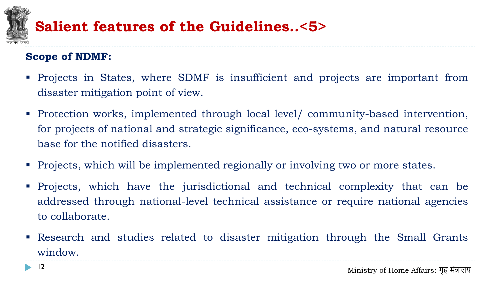

#### **Scope of NDMF:**

- Projects in States, where SDMF is insufficient and projects are important from disaster mitigation point of view.
- Protection works, implemented through local level/ community-based intervention, for projects of national and strategic significance, eco-systems, and natural resource base for the notified disasters.
- Projects, which will be implemented regionally or involving two or more states.
- Projects, which have the jurisdictional and technical complexity that can be addressed through national-level technical assistance or require national agencies to collaborate.
- Research and studies related to disaster mitigation through the Small Grants window.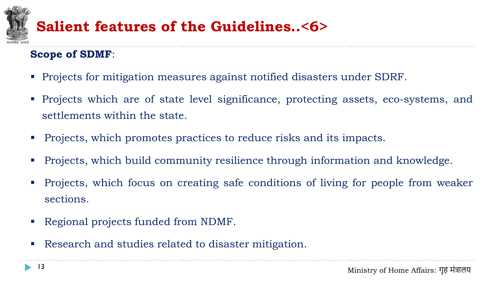## **Salient features of the Guidelines..<6>**

### **Scope of SDMF**:

- Projects for mitigation measures against notified disasters under SDRF.
- Projects which are of state level significance, protecting assets, eco-systems, and settlements within the state.
- Projects, which promotes practices to reduce risks and its impacts.
- Projects, which build community resilience through information and knowledge.
- Projects, which focus on creating safe conditions of living for people from weaker sections.
- Regional projects funded from NDMF.
- Research and studies related to disaster mitigation.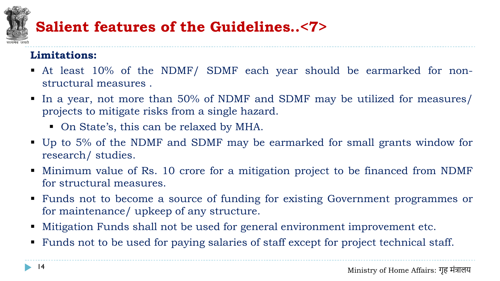## **Salient features of the Guidelines..<7>**

#### **Limitations:**

- At least 10% of the NDMF/ SDMF each year should be earmarked for nonstructural measures .
- In a year, not more than 50% of NDMF and SDMF may be utilized for measures/ projects to mitigate risks from a single hazard.
	- On State's, this can be relaxed by MHA.
- Up to 5% of the NDMF and SDMF may be earmarked for small grants window for research/ studies.
- Minimum value of Rs. 10 crore for a mitigation project to be financed from NDMF for structural measures.
- Funds not to become a source of funding for existing Government programmes or for maintenance/ upkeep of any structure.
- Mitigation Funds shall not be used for general environment improvement etc.
- Funds not to be used for paying salaries of staff except for project technical staff.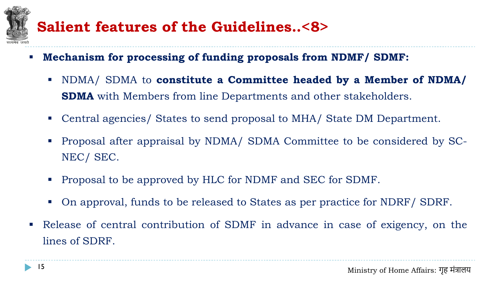## **Salient features of the Guidelines..<8>**

- **Mechanism for processing of funding proposals from NDMF/ SDMF:**
	- NDMA/ SDMA to **constitute a Committee headed by a Member of NDMA/ SDMA** with Members from line Departments and other stakeholders.
	- Central agencies/ States to send proposal to MHA/ State DM Department.
	- Proposal after appraisal by NDMA/ SDMA Committee to be considered by SC-NEC/ SEC.
	- Proposal to be approved by HLC for NDMF and SEC for SDMF.
	- On approval, funds to be released to States as per practice for NDRF/ SDRF.
- Release of central contribution of SDMF in advance in case of exigency, on the lines of SDRF.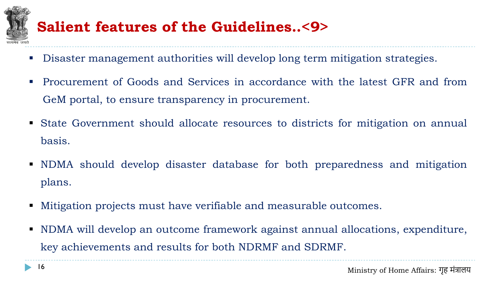

## **Salient features of the Guidelines..<9>**

- Disaster management authorities will develop long term mitigation strategies.
- Procurement of Goods and Services in accordance with the latest GFR and from GeM portal, to ensure transparency in procurement.
- State Government should allocate resources to districts for mitigation on annual basis.
- NDMA should develop disaster database for both preparedness and mitigation plans.
- Mitigation projects must have verifiable and measurable outcomes.
- NDMA will develop an outcome framework against annual allocations, expenditure, key achievements and results for both NDRMF and SDRMF.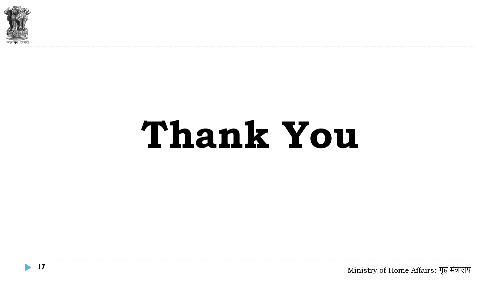

# **Thank You**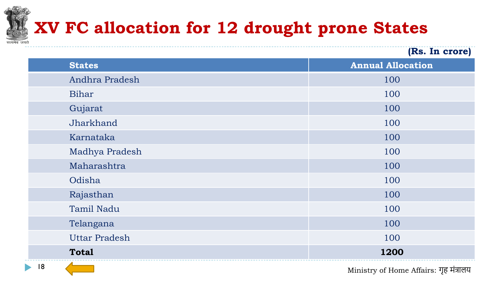## <span id="page-17-0"></span>**XV FC allocation for 12 drought prone States**

|                      | (Rs. In crore)           |
|----------------------|--------------------------|
| <b>States</b>        | <b>Annual Allocation</b> |
| Andhra Pradesh       | 100                      |
| Bihar                | 100                      |
| Gujarat              | 100                      |
| Jharkhand            | 100                      |
| Karnataka            | 100                      |
| Madhya Pradesh       | 100                      |
| Maharashtra          | 100                      |
| Odisha               | 100                      |
| Rajasthan            | 100                      |
| <b>Tamil Nadu</b>    | 100                      |
| Telangana            | 100                      |
| <b>Uttar Pradesh</b> | 100                      |
| <b>Total</b>         | 1200                     |

to the Ministry of Home Affairs: गृह मंत्रालय 18 to the Ministry of Home Affairs: गृह मंत्रालय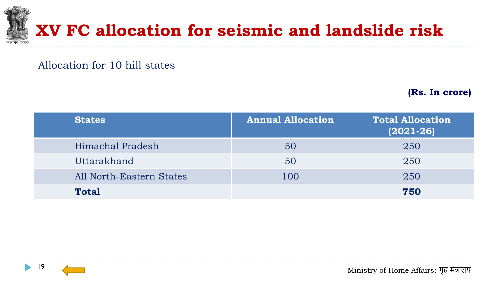<span id="page-18-0"></span>

#### Allocation for 10 hill states

**(Rs. In crore)**

| <b>States</b>                   | <b>Annual Allocation</b> | <b>Total Allocation</b><br>$(2021 - 26)$ |
|---------------------------------|--------------------------|------------------------------------------|
| Himachal Pradesh                | 50                       | 250                                      |
| Uttarakhand                     | 50                       | 250                                      |
| <b>All North-Eastern States</b> | 100                      | 250                                      |
| <b>Total</b>                    |                          | 750                                      |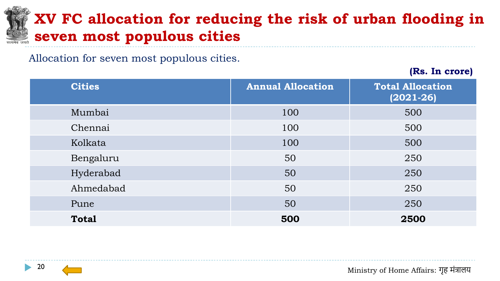## <span id="page-19-0"></span>**XV FC allocation for reducing the risk of urban flooding in seven most populous cities**

Allocation for seven most populous cities.

**(Rs. In crore)**

| <b>Cities</b> | <b>Annual Allocation</b> | <b>Total Allocation</b><br>$(2021 - 26)$ |
|---------------|--------------------------|------------------------------------------|
| Mumbai        | 100                      | 500                                      |
| Chennai       | 100                      | 500                                      |
| Kolkata       | 100                      | 500                                      |
| Bengaluru     | 50                       | 250                                      |
| Hyderabad     | 50                       | 250                                      |
| Ahmedabad     | 50                       | 250                                      |
| Pune          | 50                       | 250                                      |
| <b>Total</b>  | 500                      | 2500                                     |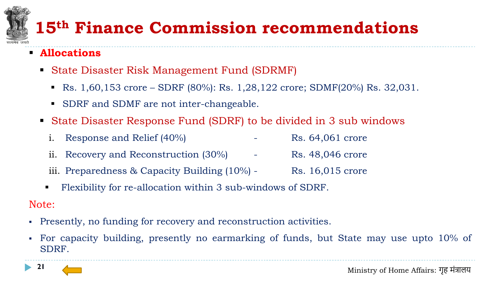# <span id="page-20-0"></span>**15th Finance Commission recommendations**

- **Allocations**
	- State Disaster Risk Management Fund (SDRMF)
		- **•** Rs.  $1,60,153$  crore SDRF (80%): Rs.  $1,28,122$  crore; SDMF(20%) Rs.  $32,031$ .
		- SDRF and SDMF are not inter-changeable.
	- State Disaster Response Fund (SDRF) to be divided in 3 sub windows
		- i. Response and Relief  $(40\%)$   $\qquad \qquad$  Rs. 64,061 crore
		- ii. Recovery and Reconstruction (30%) Rs. 48,046 crore
		- iii. Preparedness & Capacity Building  $(10\%)$  Rs. 16,015 crore
		- Flexibility for re-allocation within 3 sub-windows of SDRF.

#### Note:

- Presently, no funding for recovery and reconstruction activities.
- For capacity building, presently no earmarking of funds, but State may use upto 10% of SDRF.